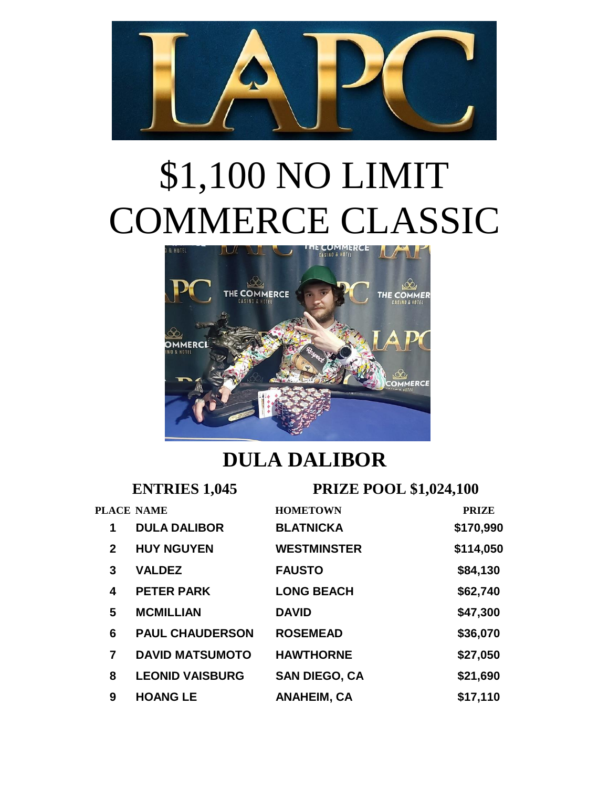

## \$1,100 NO LIMIT COMMERCE CLASSIC



## **DULA DALIBOR**

| <b>ENTRIES 1,045</b> |                        | <b>PRIZE POOL \$1,024,100</b> |              |
|----------------------|------------------------|-------------------------------|--------------|
|                      | <b>PLACE NAME</b>      | <b>HOMETOWN</b>               | <b>PRIZE</b> |
| 1                    | <b>DULA DALIBOR</b>    | <b>BLATNICKA</b>              | \$170,990    |
| $\mathbf{2}$         | <b>HUY NGUYEN</b>      | <b>WESTMINSTER</b>            | \$114,050    |
| 3                    | <b>VALDEZ</b>          | <b>FAUSTO</b>                 | \$84,130     |
| 4                    | <b>PETER PARK</b>      | <b>LONG BEACH</b>             | \$62,740     |
| 5                    | <b>MCMILLIAN</b>       | <b>DAVID</b>                  | \$47,300     |
| 6                    | <b>PAUL CHAUDERSON</b> | <b>ROSEMEAD</b>               | \$36,070     |
| 7                    | <b>DAVID MATSUMOTO</b> | <b>HAWTHORNE</b>              | \$27,050     |
| 8                    | <b>LEONID VAISBURG</b> | <b>SAN DIEGO, CA</b>          | \$21,690     |
| 9                    | <b>HOANG LE</b>        | <b>ANAHEIM, CA</b>            | \$17,110     |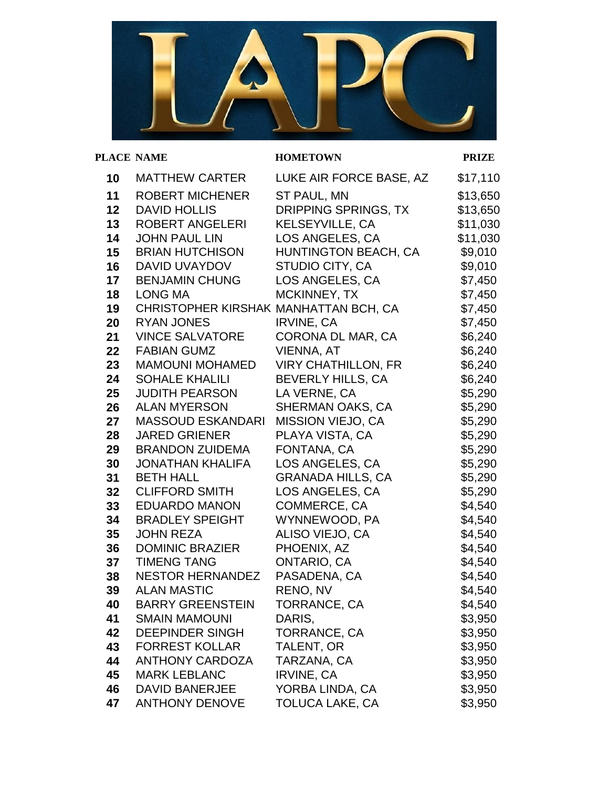

## **PLACE NAME HOMETOWN PRIZE**

| 10 | <b>MATTHEW CARTER</b>                 | LUKE AIR FORCE BASE, AZ     | \$17,110 |
|----|---------------------------------------|-----------------------------|----------|
| 11 | <b>ROBERT MICHENER</b>                | ST PAUL, MN                 | \$13,650 |
| 12 | <b>DAVID HOLLIS</b>                   | DRIPPING SPRINGS, TX        | \$13,650 |
| 13 | <b>ROBERT ANGELERI</b>                | <b>KELSEYVILLE, CA</b>      | \$11,030 |
| 14 | <b>JOHN PAUL LIN</b>                  | LOS ANGELES, CA             | \$11,030 |
| 15 | <b>BRIAN HUTCHISON</b>                | <b>HUNTINGTON BEACH, CA</b> | \$9,010  |
| 16 | DAVID UVAYDOV                         | STUDIO CITY, CA             | \$9,010  |
| 17 | <b>BENJAMIN CHUNG</b>                 | LOS ANGELES, CA             | \$7,450  |
| 18 | <b>LONG MA</b>                        | MCKINNEY, TX                | \$7,450  |
| 19 | CHRISTOPHER KIRSHAK MANHATTAN BCH, CA |                             | \$7,450  |
| 20 | <b>RYAN JONES</b>                     | <b>IRVINE, CA</b>           | \$7,450  |
| 21 | <b>VINCE SALVATORE</b>                | CORONA DL MAR, CA           | \$6,240  |
| 22 | <b>FABIAN GUMZ</b>                    | <b>VIENNA, AT</b>           | \$6,240  |
| 23 | <b>MAMOUNI MOHAMED</b>                | <b>VIRY CHATHILLON, FR</b>  | \$6,240  |
| 24 | <b>SOHALE KHALILI</b>                 | BEVERLY HILLS, CA           | \$6,240  |
| 25 | <b>JUDITH PEARSON</b>                 | LA VERNE, CA                | \$5,290  |
| 26 | <b>ALAN MYERSON</b>                   | SHERMAN OAKS, CA            | \$5,290  |
| 27 | <b>MASSOUD ESKANDARI</b>              | MISSION VIEJO, CA           | \$5,290  |
| 28 | <b>JARED GRIENER</b>                  | PLAYA VISTA, CA             | \$5,290  |
| 29 | <b>BRANDON ZUIDEMA</b>                | FONTANA, CA                 | \$5,290  |
| 30 | <b>JONATHAN KHALIFA</b>               | LOS ANGELES, CA             | \$5,290  |
| 31 | <b>BETH HALL</b>                      | <b>GRANADA HILLS, CA</b>    | \$5,290  |
| 32 | <b>CLIFFORD SMITH</b>                 | LOS ANGELES, CA             | \$5,290  |
| 33 | <b>EDUARDO MANON</b>                  | COMMERCE, CA                | \$4,540  |
| 34 | <b>BRADLEY SPEIGHT</b>                | WYNNEWOOD, PA               | \$4,540  |
| 35 | <b>JOHN REZA</b>                      | ALISO VIEJO, CA             | \$4,540  |
| 36 | <b>DOMINIC BRAZIER</b>                | PHOENIX, AZ                 | \$4,540  |
| 37 | <b>TIMENG TANG</b>                    | ONTARIO, CA                 | \$4,540  |
| 38 | <b>NESTOR HERNANDEZ</b>               | PASADENA, CA                | \$4,540  |
| 39 | <b>ALAN MASTIC</b>                    | RENO, NV                    | \$4,540  |
| 40 | <b>BARRY GREENSTEIN</b>               | TORRANCE, CA                | \$4,540  |
| 41 | <b>SMAIN MAMOUNI</b>                  | DARIS,                      | \$3,950  |
| 42 | <b>DEEPINDER SINGH</b>                | TORRANCE, CA                | \$3,950  |
| 43 | <b>FORREST KOLLAR</b>                 | TALENT, OR                  | \$3,950  |
| 44 | <b>ANTHONY CARDOZA</b>                | TARZANA, CA                 | \$3,950  |
| 45 | <b>MARK LEBLANC</b>                   | <b>IRVINE, CA</b>           | \$3,950  |
| 46 | <b>DAVID BANERJEE</b>                 | YORBA LINDA, CA             | \$3,950  |
| 47 | <b>ANTHONY DENOVE</b>                 | TOLUCA LAKE, CA             | \$3,950  |